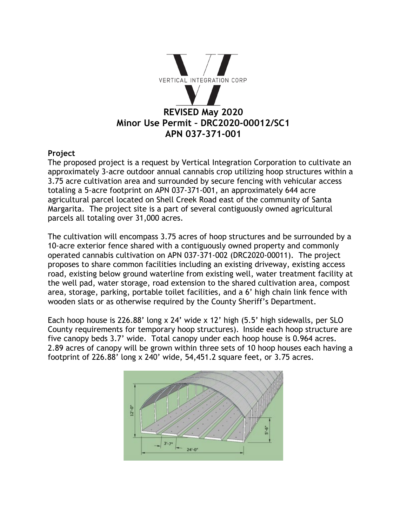

### **Project**

The proposed project is a request by Vertical Integration Corporation to cultivate an approximately 3-acre outdoor annual cannabis crop utilizing hoop structures within a 3.75 acre cultivation area and surrounded by secure fencing with vehicular access totaling a 5-acre footprint on APN 037-371-001, an approximately 644 acre agricultural parcel located on Shell Creek Road east of the community of Santa Margarita. The project site is a part of several contiguously owned agricultural parcels all totaling over 31,000 acres.

The cultivation will encompass 3.75 acres of hoop structures and be surrounded by a 10-acre exterior fence shared with a contiguously owned property and commonly operated cannabis cultivation on APN 037-371-002 (DRC2020-00011). The project proposes to share common facilities including an existing driveway, existing access road, existing below ground waterline from existing well, water treatment facility at the well pad, water storage, road extension to the shared cultivation area, compost area, storage, parking, portable toilet facilities, and a 6' high chain link fence with wooden slats or as otherwise required by the County Sheriff's Department.

Each hoop house is 226.88' long x 24' wide x 12' high (5.5' high sidewalls, per SLO County requirements for temporary hoop structures). Inside each hoop structure are five canopy beds 3.7' wide. Total canopy under each hoop house is 0.964 acres. 2.89 acres of canopy will be grown within three sets of 10 hoop houses each having a footprint of 226.88' long x 240' wide, 54,451.2 square feet, or 3.75 acres.

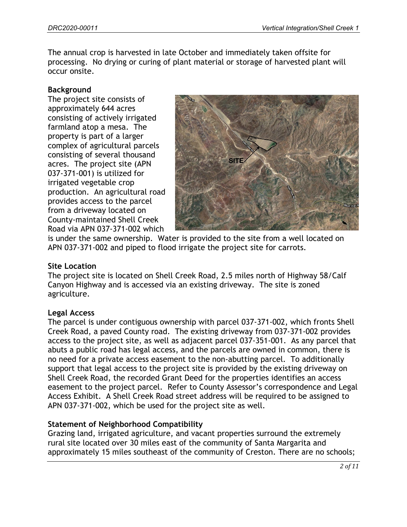The annual crop is harvested in late October and immediately taken offsite for processing. No drying or curing of plant material or storage of harvested plant will occur onsite.

### **Background**

The project site consists of approximately 644 acres consisting of actively irrigated farmland atop a mesa. The property is part of a larger complex of agricultural parcels consisting of several thousand acres. The project site (APN 037-371-001) is utilized for irrigated vegetable crop production. An agricultural road provides access to the parcel from a driveway located on County-maintained Shell Creek Road via APN 037-371-002 which



is under the same ownership. Water is provided to the site from a well located on APN 037-371-002 and piped to flood irrigate the project site for carrots.

### **Site Location**

The project site is located on Shell Creek Road, 2.5 miles north of Highway 58/Calf Canyon Highway and is accessed via an existing driveway. The site is zoned agriculture.

### **Legal Access**

The parcel is under contiguous ownership with parcel 037-371-002, which fronts Shell Creek Road, a paved County road. The existing driveway from 037-371-002 provides access to the project site, as well as adjacent parcel 037-351-001. As any parcel that abuts a public road has legal access, and the parcels are owned in common, there is no need for a private access easement to the non-abutting parcel. To additionally support that legal access to the project site is provided by the existing driveway on Shell Creek Road, the recorded Grant Deed for the properties identifies an access easement to the project parcel. Refer to County Assessor's correspondence and Legal Access Exhibit. A Shell Creek Road street address will be required to be assigned to APN 037-371-002, which be used for the project site as well.

## **Statement of Neighborhood Compatibility**

Grazing land, irrigated agriculture, and vacant properties surround the extremely rural site located over 30 miles east of the community of Santa Margarita and approximately 15 miles southeast of the community of Creston. There are no schools;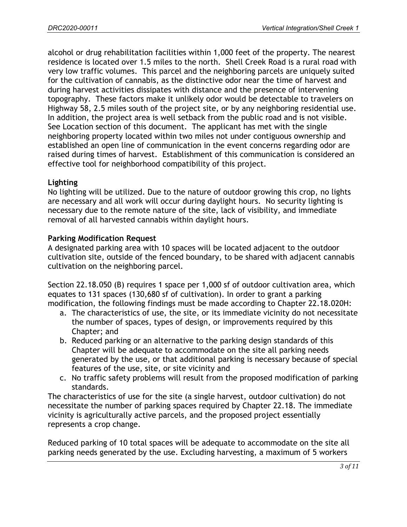alcohol or drug rehabilitation facilities within 1,000 feet of the property. The nearest residence is located over 1.5 miles to the north. Shell Creek Road is a rural road with very low traffic volumes. This parcel and the neighboring parcels are uniquely suited for the cultivation of cannabis, as the distinctive odor near the time of harvest and during harvest activities dissipates with distance and the presence of intervening topography. These factors make it unlikely odor would be detectable to travelers on Highway 58, 2.5 miles south of the project site, or by any neighboring residential use. In addition, the project area is well setback from the public road and is not visible. See Location section of this document. The applicant has met with the single neighboring property located within two miles not under contiguous ownership and established an open line of communication in the event concerns regarding odor are raised during times of harvest. Establishment of this communication is considered an effective tool for neighborhood compatibility of this project.

## **Lighting**

No lighting will be utilized. Due to the nature of outdoor growing this crop, no lights are necessary and all work will occur during daylight hours. No security lighting is necessary due to the remote nature of the site, lack of visibility, and immediate removal of all harvested cannabis within daylight hours.

### **Parking Modification Request**

A designated parking area with 10 spaces will be located adjacent to the outdoor cultivation site, outside of the fenced boundary, to be shared with adjacent cannabis cultivation on the neighboring parcel.

Section 22.18.050 (B) requires 1 space per 1,000 sf of outdoor cultivation area, which equates to 131 spaces (130,680 sf of cultivation). In order to grant a parking modification, the following findings must be made according to Chapter 22.18.020H:

- a. The characteristics of use, the site, or its immediate vicinity do not necessitate the number of spaces, types of design, or improvements required by this Chapter; and
- b. Reduced parking or an alternative to the parking design standards of this Chapter will be adequate to accommodate on the site all parking needs generated by the use, or that additional parking is necessary because of special features of the use, site, or site vicinity and
- c. No traffic safety problems will result from the proposed modification of parking standards.

The characteristics of use for the site (a single harvest, outdoor cultivation) do not necessitate the number of parking spaces required by Chapter 22.18. The immediate vicinity is agriculturally active parcels, and the proposed project essentially represents a crop change.

Reduced parking of 10 total spaces will be adequate to accommodate on the site all parking needs generated by the use. Excluding harvesting, a maximum of 5 workers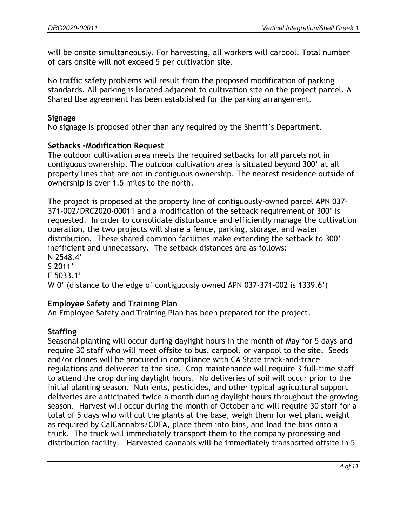will be onsite simultaneously. For harvesting, all workers will carpool. Total number of cars onsite will not exceed 5 per cultivation site.

No traffic safety problems will result from the proposed modification of parking standards. All parking is located adjacent to cultivation site on the project parcel. A Shared Use agreement has been established for the parking arrangement.

### **Signage**

No signage is proposed other than any required by the Sheriff's Department.

### **Setbacks –Modification Request**

The outdoor cultivation area meets the required setbacks for all parcels not in contiguous ownership. The outdoor cultivation area is situated beyond 300' at all property lines that are not in contiguous ownership. The nearest residence outside of ownership is over 1.5 miles to the north.

The project is proposed at the property line of contiguously-owned parcel APN 037- 371-002/DRC2020-00011 and a modification of the setback requirement of 300' is requested. In order to consolidate disturbance and efficiently manage the cultivation operation, the two projects will share a fence, parking, storage, and water distribution. These shared common facilities make extending the setback to 300' inefficient and unnecessary. The setback distances are as follows: N 2548.4' S 2011' E 5033.1' W 0' (distance to the edge of contiguously owned APN 037-371-002 is 1339.6')

## **Employee Safety and Training Plan**

An Employee Safety and Training Plan has been prepared for the project.

# **Staffing**

Seasonal planting will occur during daylight hours in the month of May for 5 days and require 30 staff who will meet offsite to bus, carpool, or vanpool to the site. Seeds and/or clones will be procured in compliance with CA State track-and-trace regulations and delivered to the site. Crop maintenance will require 3 full-time staff to attend the crop during daylight hours. No deliveries of soil will occur prior to the initial planting season. Nutrients, pesticides, and other typical agricultural support deliveries are anticipated twice a month during daylight hours throughout the growing season. Harvest will occur during the month of October and will require 30 staff for a total of 5 days who will cut the plants at the base, weigh them for wet plant weight as required by CalCannabis/CDFA, place them into bins, and load the bins onto a truck. The truck will immediately transport them to the company processing and distribution facility. Harvested cannabis will be immediately transported offsite in 5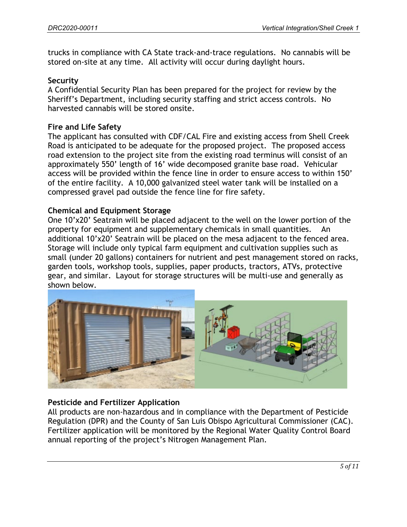trucks in compliance with CA State track-and-trace regulations. No cannabis will be stored on-site at any time. All activity will occur during daylight hours.

### **Security**

A Confidential Security Plan has been prepared for the project for review by the Sheriff's Department, including security staffing and strict access controls. No harvested cannabis will be stored onsite.

### **Fire and Life Safety**

The applicant has consulted with CDF/CAL Fire and existing access from Shell Creek Road is anticipated to be adequate for the proposed project. The proposed access road extension to the project site from the existing road terminus will consist of an approximately 550' length of 16' wide decomposed granite base road. Vehicular access will be provided within the fence line in order to ensure access to within 150' of the entire facility. A 10,000 galvanized steel water tank will be installed on a compressed gravel pad outside the fence line for fire safety.

### **Chemical and Equipment Storage**

One 10'x20' Seatrain will be placed adjacent to the well on the lower portion of the property for equipment and supplementary chemicals in small quantities. An additional 10'x20' Seatrain will be placed on the mesa adjacent to the fenced area. Storage will include only typical farm equipment and cultivation supplies such as small (under 20 gallons) containers for nutrient and pest management stored on racks, garden tools, workshop tools, supplies, paper products, tractors, ATVs, protective gear, and similar. Layout for storage structures will be multi-use and generally as shown below.



## **Pesticide and Fertilizer Application**

All products are non-hazardous and in compliance with the Department of Pesticide Regulation (DPR) and the County of San Luis Obispo Agricultural Commissioner (CAC). Fertilizer application will be monitored by the Regional Water Quality Control Board annual reporting of the project's Nitrogen Management Plan.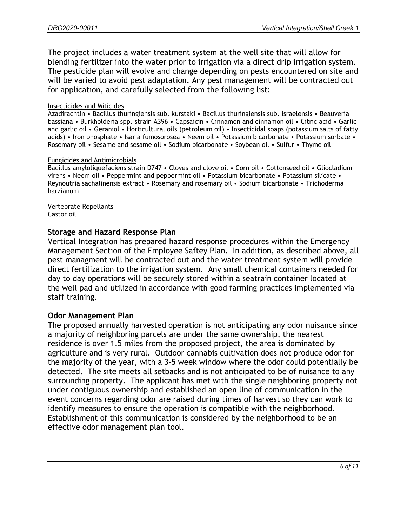The project includes a water treatment system at the well site that will allow for blending fertilizer into the water prior to irrigation via a direct drip irrigation system. The pesticide plan will evolve and change depending on pests encountered on site and will be varied to avoid pest adaptation. Any pest management will be contracted out for application, and carefully selected from the following list:

### Insecticides and Miticides

Azadirachtin • Bacillus thuringiensis sub. kurstaki • Bacillus thuringiensis sub. israelensis • Beauveria bassiana • Burkholderia spp. strain A396 • Capsaicin • Cinnamon and cinnamon oil • Citric acid • Garlic and garlic oil • Geraniol • Horticultural oils (petroleum oil) • Insecticidal soaps (potassium salts of fatty acids) • Iron phosphate • Isaria fumosorosea • Neem oil • Potassium bicarbonate • Potassium sorbate • Rosemary oil • Sesame and sesame oil • Sodium bicarbonate • Soybean oil • Sulfur • Thyme oil

### Fungicides and Antimicrobials

Bacillus amyloliquefaciens strain D747 • Cloves and clove oil • Corn oil • Cottonseed oil • Gliocladium virens • Neem oil • Peppermint and peppermint oil • Potassium bicarbonate • Potassium silicate • Reynoutria sachalinensis extract • Rosemary and rosemary oil • Sodium bicarbonate • Trichoderma harzianum

#### Vertebrate Repellants Castor oil

### **Storage and Hazard Response Plan**

Vertical Integration has prepared hazard response procedures within the Emergency Management Section of the Employee Saftey Plan. In addition, as described above, all pest managment will be contracted out and the water treatment system will provide direct fertilization to the irrigation system. Any small chemical containers needed for day to day operations will be securely stored within a seatrain container located at the well pad and utilized in accordance with good farming practices implemented via staff training.

### **Odor Management Plan**

The proposed annually harvested operation is not anticipating any odor nuisance since a majority of neighboring parcels are under the same ownership, the nearest residence is over 1.5 miles from the proposed project, the area is dominated by agriculture and is very rural. Outdoor cannabis cultivation does not produce odor for the majority of the year, with a 3-5 week window where the odor could potentially be detected. The site meets all setbacks and is not anticipated to be of nuisance to any surrounding property. The applicant has met with the single neighboring property not under contiguous ownership and established an open line of communication in the event concerns regarding odor are raised during times of harvest so they can work to identify measures to ensure the operation is compatible with the neighborhood. Establishment of this communication is considered by the neighborhood to be an effective odor management plan tool.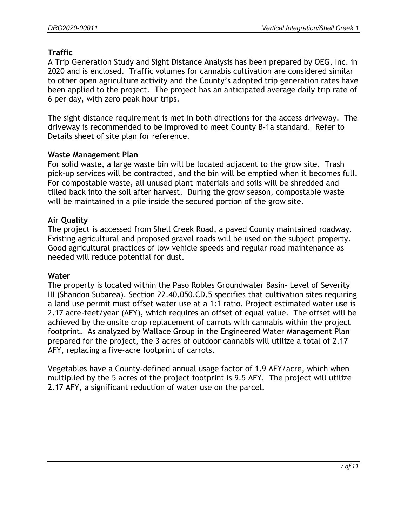# **Traffic**

A Trip Generation Study and Sight Distance Analysis has been prepared by OEG, Inc. in 2020 and is enclosed. Traffic volumes for cannabis cultivation are considered similar to other open agriculture activity and the County's adopted trip generation rates have been applied to the project. The project has an anticipated average daily trip rate of 6 per day, with zero peak hour trips.

The sight distance requirement is met in both directions for the access driveway. The driveway is recommended to be improved to meet County B-1a standard. Refer to Details sheet of site plan for reference.

### **Waste Management Plan**

For solid waste, a large waste bin will be located adjacent to the grow site. Trash pick-up services will be contracted, and the bin will be emptied when it becomes full. For compostable waste, all unused plant materials and soils will be shredded and tilled back into the soil after harvest. During the grow season, compostable waste will be maintained in a pile inside the secured portion of the grow site.

## **Air Quality**

The project is accessed from Shell Creek Road, a paved County maintained roadway. Existing agricultural and proposed gravel roads will be used on the subject property. Good agricultural practices of low vehicle speeds and regular road maintenance as needed will reduce potential for dust.

## **Water**

The property is located within the Paso Robles Groundwater Basin- Level of Severity III (Shandon Subarea). Section 22.40.050.CD.5 specifies that cultivation sites requiring a land use permit must offset water use at a 1:1 ratio. Project estimated water use is 2.17 acre-feet/year (AFY), which requires an offset of equal value. The offset will be achieved by the onsite crop replacement of carrots with cannabis within the project footprint. As analyzed by Wallace Group in the Engineered Water Management Plan prepared for the project, the 3 acres of outdoor cannabis will utilize a total of 2.17 AFY, replacing a five-acre footprint of carrots.

Vegetables have a County-defined annual usage factor of 1.9 AFY/acre, which when multiplied by the 5 acres of the project footprint is 9.5 AFY. The project will utilize 2.17 AFY, a significant reduction of water use on the parcel.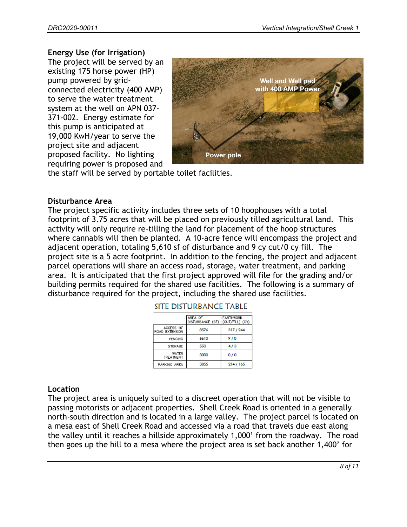### **Energy Use (for Irrigation)**

The project will be served by an existing 175 horse power (HP) pump powered by gridconnected electricity (400 AMP) to serve the water treatment system at the well on APN 037- 371-002. Energy estimate for this pump is anticipated at 19,000 KwH/year to serve the project site and adjacent proposed facility. No lighting requiring power is proposed and



the staff will be served by portable toilet facilities.

### **Disturbance Area**

The project specific activity includes three sets of 10 hoophouses with a total footprint of 3.75 acres that will be placed on previously tilled agricultural land. This activity will only require re-tilling the land for placement of the hoop structures where cannabis will then be planted. A 10-acre fence will encompass the project and adjacent operation, totaling 5,610 sf of disturbance and 9 cy cut/0 cy fill. The project site is a 5 acre footprint. In addition to the fencing, the project and adjacent parcel operations will share an access road, storage, water treatment, and parking area. It is anticipated that the first project approved will file for the grading and/or building permits required for the shared use facilities. The following is a summary of disturbance required for the project, including the shared use facilities.

|                              | AREA OF<br>DISTURBANCE (SF) | <b>EARTHWORK</b><br>(CUT/FILL) (CY) |
|------------------------------|-----------------------------|-------------------------------------|
| ACCESS 16'<br>ROAD EXTENSION | 8576                        | 317 / 244                           |
| <b>FENCING</b>               | 5610                        | 910                                 |
| STORAGE                      | 550                         | 4/3                                 |
| WATER<br>TREATMENT           | 3000                        | 0/0                                 |
| PARKING AREA                 | 3855                        | 214/165                             |

### SITE DISTURBANCE TABLE

### **Location**

The project area is uniquely suited to a discreet operation that will not be visible to passing motorists or adjacent properties. Shell Creek Road is oriented in a generally north-south direction and is located in a large valley. The project parcel is located on a mesa east of Shell Creek Road and accessed via a road that travels due east along the valley until it reaches a hillside approximately 1,000' from the roadway. The road then goes up the hill to a mesa where the project area is set back another 1,400' for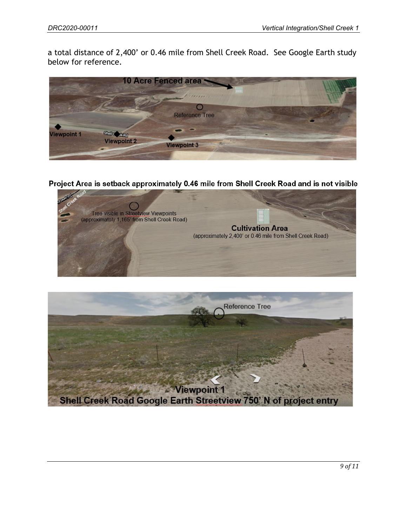a total distance of 2,400' or 0.46 mile from Shell Creek Road. See Google Earth study below for reference.



Project Area is setback approximately 0.46 mile from Shell Creek Road and is not visible



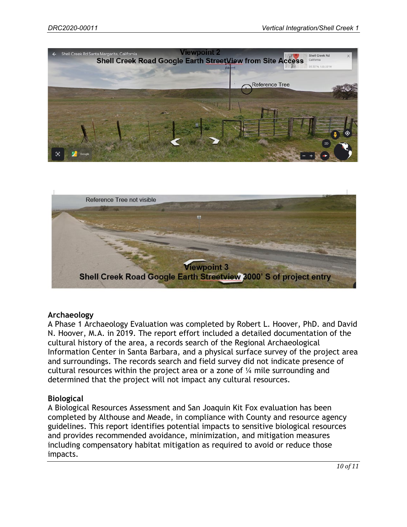



### **Archaeology**

A Phase 1 Archaeology Evaluation was completed by Robert L. Hoover, PhD. and David N. Hoover, M.A. in 2019. The report effort included a detailed documentation of the cultural history of the area, a records search of the Regional Archaeological Information Center in Santa Barbara, and a physical surface survey of the project area and surroundings. The records search and field survey did not indicate presence of cultural resources within the project area or a zone of ¼ mile surrounding and determined that the project will not impact any cultural resources.

### **Biological**

A Biological Resources Assessment and San Joaquin Kit Fox evaluation has been completed by Althouse and Meade, in compliance with County and resource agency guidelines. This report identifies potential impacts to sensitive biological resources and provides recommended avoidance, minimization, and mitigation measures including compensatory habitat mitigation as required to avoid or reduce those impacts.